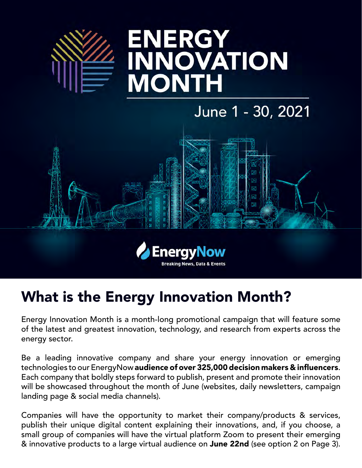

# **ENERGY INNOVATION MONTH**

## June 1 - 30, 2021





## What is the Energy Innovation Month?

Energy Innovation Month is a month-long promotional campaign that will feature some of the latest and greatest innovation, technology, and research from experts across the energy sector.

Be a leading innovative company and share your energy innovation or emerging technologies to our EnergyNow audience of over 325,000 decision makers & influencers. Each company that boldly steps forward to publish, present and promote their innovation will be showcased throughout the month of June (websites, daily newsletters, campaign landing page & social media channels).

Companies will have the opportunity to market their company/products & services, publish their unique digital content explaining their innovations, and, if you choose, a small group of companies will have the virtual platform Zoom to present their emerging & innovative products to a large virtual audience on June 22nd (see option 2 on Page 3).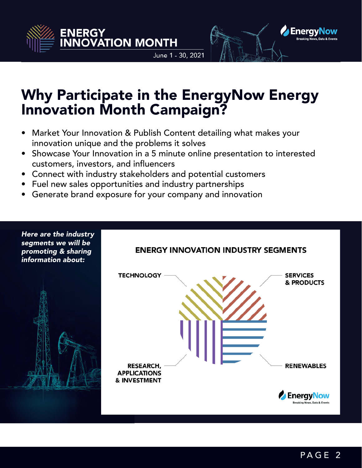

June 1 - 30, 2021



### Why Participate in the EnergyNow Energy Innovation Month Campaign?

- Market Your Innovation & Publish Content detailing what makes your innovation unique and the problems it solves
- Showcase Your Innovation in a 5 minute online presentation to interested customers, investors, and influencers
- Connect with industry stakeholders and potential customers
- Fuel new sales opportunities and industry partnerships
- Generate brand exposure for your company and innovation